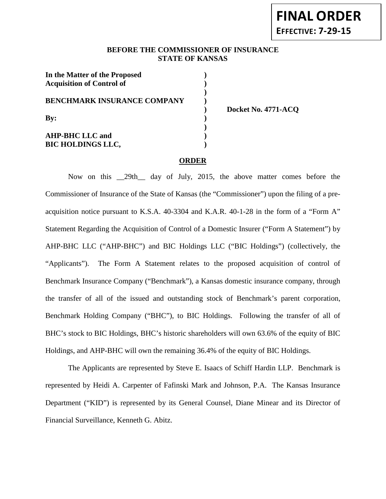### **BEFORE THE COMMISSIONER OF INSURANCE STATE OF KANSAS**

**)**

| In the Matter of the Proposed<br><b>Acquisition of Control of</b> |  |
|-------------------------------------------------------------------|--|
| <b>BENCHMARK INSURANCE COMPANY</b>                                |  |
| Bv:                                                               |  |
| <b>AHP-BHC LLC and</b><br><b>BIC HOLDINGS LLC,</b>                |  |

**) Docket No. 4771-ACQ**

#### **ORDER**

Now on this \_\_29th\_\_ day of July, 2015, the above matter comes before the Commissioner of Insurance of the State of Kansas (the "Commissioner") upon the filing of a preacquisition notice pursuant to K.S.A. 40-3304 and K.A.R. 40-1-28 in the form of a "Form A" Statement Regarding the Acquisition of Control of a Domestic Insurer ("Form A Statement") by AHP-BHC LLC ("AHP-BHC") and BIC Holdings LLC ("BIC Holdings") (collectively, the "Applicants"). The Form A Statement relates to the proposed acquisition of control of Benchmark Insurance Company ("Benchmark"), a Kansas domestic insurance company, through the transfer of all of the issued and outstanding stock of Benchmark's parent corporation, Benchmark Holding Company ("BHC"), to BIC Holdings. Following the transfer of all of BHC's stock to BIC Holdings, BHC's historic shareholders will own 63.6% of the equity of BIC Holdings, and AHP-BHC will own the remaining 36.4% of the equity of BIC Holdings.

The Applicants are represented by Steve E. Isaacs of Schiff Hardin LLP. Benchmark is represented by Heidi A. Carpenter of Fafinski Mark and Johnson, P.A. The Kansas Insurance Department ("KID") is represented by its General Counsel, Diane Minear and its Director of Financial Surveillance, Kenneth G. Abitz.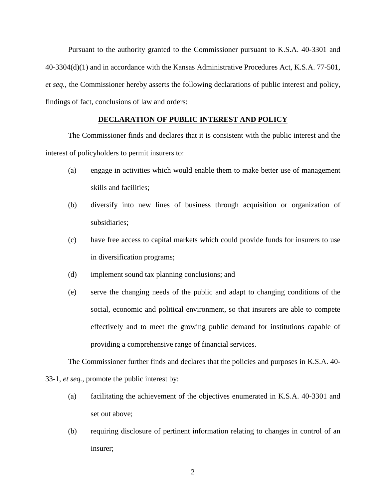Pursuant to the authority granted to the Commissioner pursuant to K.S.A. 40-3301 and 40-3304(d)(1) and in accordance with the Kansas Administrative Procedures Act, K.S.A. 77-501, *et seq.*, the Commissioner hereby asserts the following declarations of public interest and policy, findings of fact, conclusions of law and orders:

## **DECLARATION OF PUBLIC INTEREST AND POLICY**

The Commissioner finds and declares that it is consistent with the public interest and the interest of policyholders to permit insurers to:

- (a) engage in activities which would enable them to make better use of management skills and facilities;
- (b) diversify into new lines of business through acquisition or organization of subsidiaries;
- (c) have free access to capital markets which could provide funds for insurers to use in diversification programs;
- (d) implement sound tax planning conclusions; and
- (e) serve the changing needs of the public and adapt to changing conditions of the social, economic and political environment, so that insurers are able to compete effectively and to meet the growing public demand for institutions capable of providing a comprehensive range of financial services.

The Commissioner further finds and declares that the policies and purposes in K.S.A. 40- 33-1, *et seq.*, promote the public interest by:

- (a) facilitating the achievement of the objectives enumerated in K.S.A. 40-3301 and set out above;
- (b) requiring disclosure of pertinent information relating to changes in control of an insurer;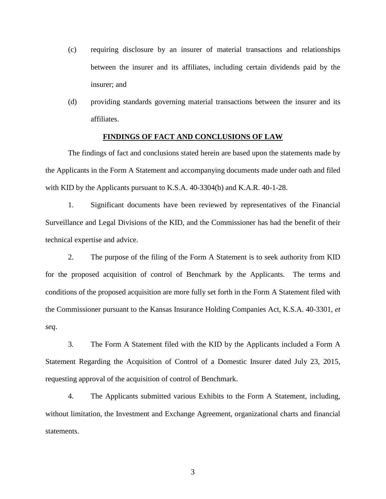- (c) requiring disclosure by an insurer of material transactions and relationships between the insurer and its affiliates, including certain dividends paid by the insurer; and
- (d) providing standards governing material transactions between the insurer and its affiliates.

#### **FINDINGS OF FACT AND CONCLUSIONS OF LAW**

The findings of fact and conclusions stated herein are based upon the statements made by the Applicants in the Form A Statement and accompanying documents made under oath and filed with KID by the Applicants pursuant to K.S.A. 40-3304(b) and K.A.R. 40-1-28.

1. Significant documents have been reviewed by representatives of the Financial Surveillance and Legal Divisions of the KID, and the Commissioner has had the benefit of their technical expertise and advice.

2. The purpose of the filing of the Form A Statement is to seek authority from KID for the proposed acquisition of control of Benchmark by the Applicants. The terms and conditions of the proposed acquisition are more fully set forth in the Form A Statement filed with the Commissioner pursuant to the Kansas Insurance Holding Companies Act, K.S.A. 40-3301, *et seq*.

3. The Form A Statement filed with the KID by the Applicants included a Form A Statement Regarding the Acquisition of Control of a Domestic Insurer dated July 23, 2015, requesting approval of the acquisition of control of Benchmark.

4. The Applicants submitted various Exhibits to the Form A Statement, including, without limitation, the Investment and Exchange Agreement, organizational charts and financial statements.

3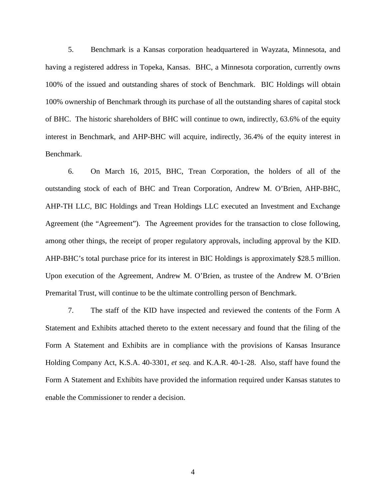5. Benchmark is a Kansas corporation headquartered in Wayzata, Minnesota, and having a registered address in Topeka, Kansas. BHC, a Minnesota corporation, currently owns 100% of the issued and outstanding shares of stock of Benchmark. BIC Holdings will obtain 100% ownership of Benchmark through its purchase of all the outstanding shares of capital stock of BHC. The historic shareholders of BHC will continue to own, indirectly, 63.6% of the equity interest in Benchmark, and AHP-BHC will acquire, indirectly, 36.4% of the equity interest in Benchmark.

6. On March 16, 2015, BHC, Trean Corporation, the holders of all of the outstanding stock of each of BHC and Trean Corporation, Andrew M. O'Brien, AHP-BHC, AHP-TH LLC, BIC Holdings and Trean Holdings LLC executed an Investment and Exchange Agreement (the "Agreement"). The Agreement provides for the transaction to close following, among other things, the receipt of proper regulatory approvals, including approval by the KID. AHP-BHC's total purchase price for its interest in BIC Holdings is approximately \$28.5 million. Upon execution of the Agreement, Andrew M. O'Brien, as trustee of the Andrew M. O'Brien Premarital Trust, will continue to be the ultimate controlling person of Benchmark.

7. The staff of the KID have inspected and reviewed the contents of the Form A Statement and Exhibits attached thereto to the extent necessary and found that the filing of the Form A Statement and Exhibits are in compliance with the provisions of Kansas Insurance Holding Company Act, K.S.A. 40-3301, *et seq.* and K.A.R. 40-1-28. Also, staff have found the Form A Statement and Exhibits have provided the information required under Kansas statutes to enable the Commissioner to render a decision.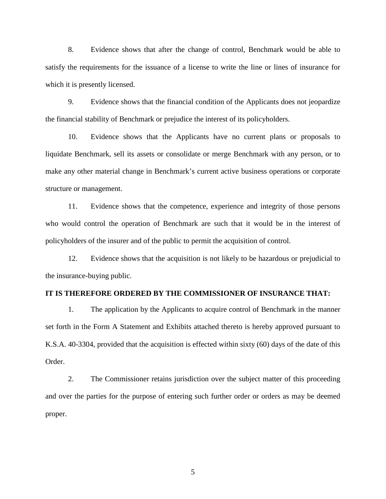8. Evidence shows that after the change of control, Benchmark would be able to satisfy the requirements for the issuance of a license to write the line or lines of insurance for which it is presently licensed.

9. Evidence shows that the financial condition of the Applicants does not jeopardize the financial stability of Benchmark or prejudice the interest of its policyholders.

10. Evidence shows that the Applicants have no current plans or proposals to liquidate Benchmark, sell its assets or consolidate or merge Benchmark with any person, or to make any other material change in Benchmark's current active business operations or corporate structure or management.

11. Evidence shows that the competence, experience and integrity of those persons who would control the operation of Benchmark are such that it would be in the interest of policyholders of the insurer and of the public to permit the acquisition of control.

12. Evidence shows that the acquisition is not likely to be hazardous or prejudicial to the insurance-buying public.

### **IT IS THEREFORE ORDERED BY THE COMMISSIONER OF INSURANCE THAT:**

1. The application by the Applicants to acquire control of Benchmark in the manner set forth in the Form A Statement and Exhibits attached thereto is hereby approved pursuant to K.S.A. 40-3304, provided that the acquisition is effected within sixty (60) days of the date of this Order.

2. The Commissioner retains jurisdiction over the subject matter of this proceeding and over the parties for the purpose of entering such further order or orders as may be deemed proper.

5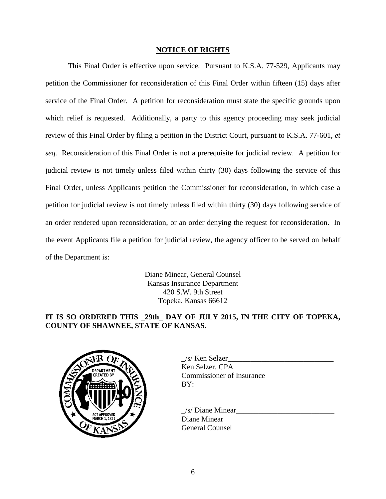#### **NOTICE OF RIGHTS**

This Final Order is effective upon service. Pursuant to K.S.A. 77-529, Applicants may petition the Commissioner for reconsideration of this Final Order within fifteen (15) days after service of the Final Order. A petition for reconsideration must state the specific grounds upon which relief is requested. Additionally, a party to this agency proceeding may seek judicial review of this Final Order by filing a petition in the District Court, pursuant to K.S.A. 77-601, *et seq.* Reconsideration of this Final Order is not a prerequisite for judicial review. A petition for judicial review is not timely unless filed within thirty (30) days following the service of this Final Order, unless Applicants petition the Commissioner for reconsideration, in which case a petition for judicial review is not timely unless filed within thirty (30) days following service of an order rendered upon reconsideration, or an order denying the request for reconsideration. In the event Applicants file a petition for judicial review, the agency officer to be served on behalf of the Department is:

> Diane Minear, General Counsel Kansas Insurance Department 420 S.W. 9th Street Topeka, Kansas 66612

# **IT IS SO ORDERED THIS \_29th\_ DAY OF JULY 2015, IN THE CITY OF TOPEKA, COUNTY OF SHAWNEE, STATE OF KANSAS.**



| /s/ Ken Selzer                   |  |
|----------------------------------|--|
| Ken Selzer, CPA                  |  |
| <b>Commissioner of Insurance</b> |  |
| BY:                              |  |

 $/s/$  Diane Minear Diane Minear General Counsel